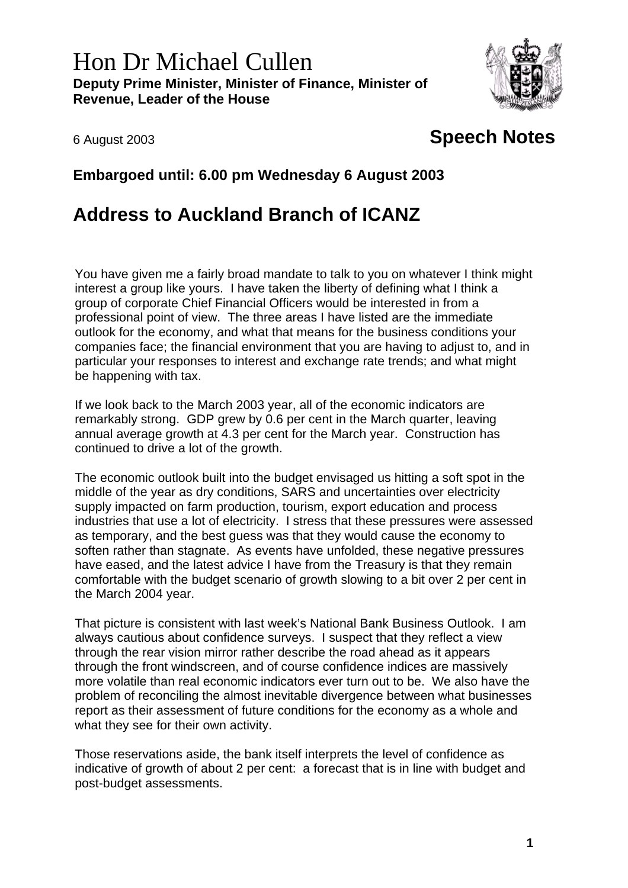## Hon Dr Michael Cullen **Deputy Prime Minister, Minister of Finance, Minister of Revenue, Leader of the House**



## 6 August 2003 **Speech Notes**

## **Embargoed until: 6.00 pm Wednesday 6 August 2003**

## **Address to Auckland Branch of ICANZ**

You have given me a fairly broad mandate to talk to you on whatever I think might interest a group like yours. I have taken the liberty of defining what I think a group of corporate Chief Financial Officers would be interested in from a professional point of view. The three areas I have listed are the immediate outlook for the economy, and what that means for the business conditions your companies face; the financial environment that you are having to adjust to, and in particular your responses to interest and exchange rate trends; and what might be happening with tax.

If we look back to the March 2003 year, all of the economic indicators are remarkably strong. GDP grew by 0.6 per cent in the March quarter, leaving annual average growth at 4.3 per cent for the March year. Construction has continued to drive a lot of the growth.

The economic outlook built into the budget envisaged us hitting a soft spot in the middle of the year as dry conditions, SARS and uncertainties over electricity supply impacted on farm production, tourism, export education and process industries that use a lot of electricity. I stress that these pressures were assessed as temporary, and the best guess was that they would cause the economy to soften rather than stagnate. As events have unfolded, these negative pressures have eased, and the latest advice I have from the Treasury is that they remain comfortable with the budget scenario of growth slowing to a bit over 2 per cent in the March 2004 year.

That picture is consistent with last week's National Bank Business Outlook. I am always cautious about confidence surveys. I suspect that they reflect a view through the rear vision mirror rather describe the road ahead as it appears through the front windscreen, and of course confidence indices are massively more volatile than real economic indicators ever turn out to be. We also have the problem of reconciling the almost inevitable divergence between what businesses report as their assessment of future conditions for the economy as a whole and what they see for their own activity.

Those reservations aside, the bank itself interprets the level of confidence as indicative of growth of about 2 per cent: a forecast that is in line with budget and post-budget assessments.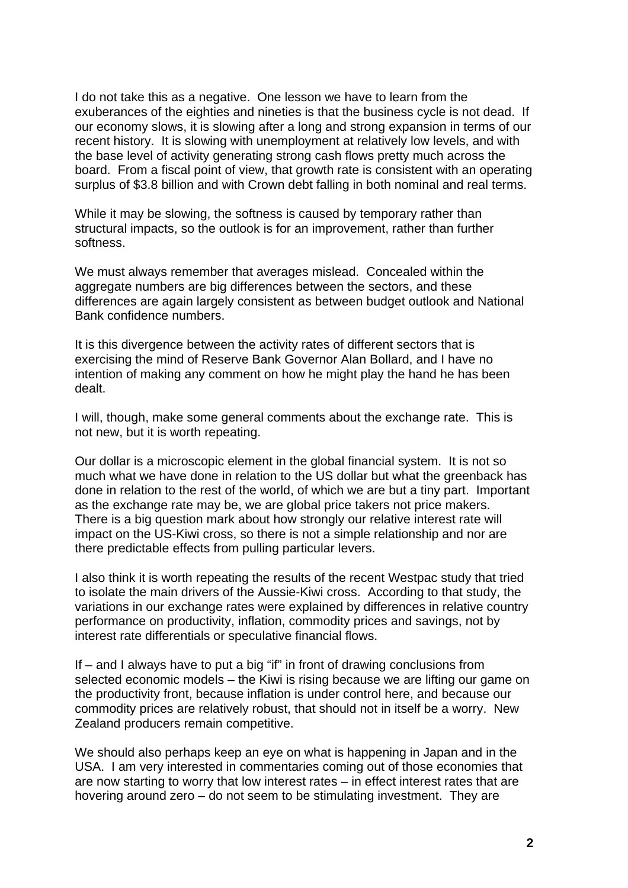I do not take this as a negative. One lesson we have to learn from the exuberances of the eighties and nineties is that the business cycle is not dead. If our economy slows, it is slowing after a long and strong expansion in terms of our recent history. It is slowing with unemployment at relatively low levels, and with the base level of activity generating strong cash flows pretty much across the board. From a fiscal point of view, that growth rate is consistent with an operating surplus of \$3.8 billion and with Crown debt falling in both nominal and real terms.

While it may be slowing, the softness is caused by temporary rather than structural impacts, so the outlook is for an improvement, rather than further softness.

We must always remember that averages mislead. Concealed within the aggregate numbers are big differences between the sectors, and these differences are again largely consistent as between budget outlook and National Bank confidence numbers.

It is this divergence between the activity rates of different sectors that is exercising the mind of Reserve Bank Governor Alan Bollard, and I have no intention of making any comment on how he might play the hand he has been dealt.

I will, though, make some general comments about the exchange rate. This is not new, but it is worth repeating.

Our dollar is a microscopic element in the global financial system. It is not so much what we have done in relation to the US dollar but what the greenback has done in relation to the rest of the world, of which we are but a tiny part. Important as the exchange rate may be, we are global price takers not price makers. There is a big question mark about how strongly our relative interest rate will impact on the US-Kiwi cross, so there is not a simple relationship and nor are there predictable effects from pulling particular levers.

I also think it is worth repeating the results of the recent Westpac study that tried to isolate the main drivers of the Aussie-Kiwi cross. According to that study, the variations in our exchange rates were explained by differences in relative country performance on productivity, inflation, commodity prices and savings, not by interest rate differentials or speculative financial flows.

If – and I always have to put a big "if" in front of drawing conclusions from selected economic models – the Kiwi is rising because we are lifting our game on the productivity front, because inflation is under control here, and because our commodity prices are relatively robust, that should not in itself be a worry. New Zealand producers remain competitive.

We should also perhaps keep an eye on what is happening in Japan and in the USA. I am very interested in commentaries coming out of those economies that are now starting to worry that low interest rates – in effect interest rates that are hovering around zero – do not seem to be stimulating investment. They are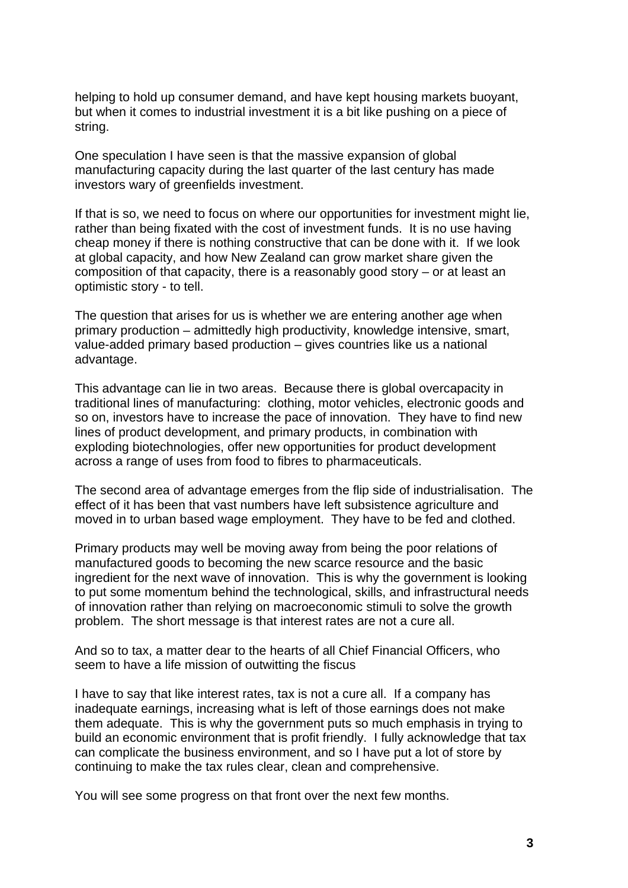helping to hold up consumer demand, and have kept housing markets buoyant, but when it comes to industrial investment it is a bit like pushing on a piece of string.

One speculation I have seen is that the massive expansion of global manufacturing capacity during the last quarter of the last century has made investors wary of greenfields investment.

If that is so, we need to focus on where our opportunities for investment might lie, rather than being fixated with the cost of investment funds. It is no use having cheap money if there is nothing constructive that can be done with it. If we look at global capacity, and how New Zealand can grow market share given the composition of that capacity, there is a reasonably good story – or at least an optimistic story - to tell.

The question that arises for us is whether we are entering another age when primary production – admittedly high productivity, knowledge intensive, smart, value-added primary based production – gives countries like us a national advantage.

This advantage can lie in two areas. Because there is global overcapacity in traditional lines of manufacturing: clothing, motor vehicles, electronic goods and so on, investors have to increase the pace of innovation. They have to find new lines of product development, and primary products, in combination with exploding biotechnologies, offer new opportunities for product development across a range of uses from food to fibres to pharmaceuticals.

The second area of advantage emerges from the flip side of industrialisation. The effect of it has been that vast numbers have left subsistence agriculture and moved in to urban based wage employment. They have to be fed and clothed.

Primary products may well be moving away from being the poor relations of manufactured goods to becoming the new scarce resource and the basic ingredient for the next wave of innovation. This is why the government is looking to put some momentum behind the technological, skills, and infrastructural needs of innovation rather than relying on macroeconomic stimuli to solve the growth problem. The short message is that interest rates are not a cure all.

And so to tax, a matter dear to the hearts of all Chief Financial Officers, who seem to have a life mission of outwitting the fiscus

I have to say that like interest rates, tax is not a cure all. If a company has inadequate earnings, increasing what is left of those earnings does not make them adequate. This is why the government puts so much emphasis in trying to build an economic environment that is profit friendly. I fully acknowledge that tax can complicate the business environment, and so I have put a lot of store by continuing to make the tax rules clear, clean and comprehensive.

You will see some progress on that front over the next few months.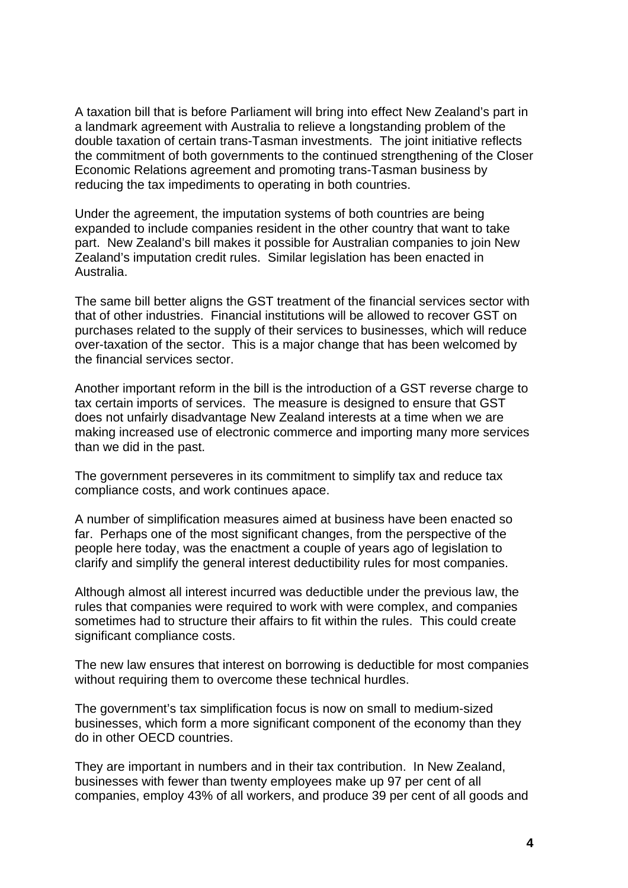A taxation bill that is before Parliament will bring into effect New Zealand's part in a landmark agreement with Australia to relieve a longstanding problem of the double taxation of certain trans-Tasman investments. The joint initiative reflects the commitment of both governments to the continued strengthening of the Closer Economic Relations agreement and promoting trans-Tasman business by reducing the tax impediments to operating in both countries.

Under the agreement, the imputation systems of both countries are being expanded to include companies resident in the other country that want to take part. New Zealand's bill makes it possible for Australian companies to join New Zealand's imputation credit rules. Similar legislation has been enacted in Australia.

The same bill better aligns the GST treatment of the financial services sector with that of other industries. Financial institutions will be allowed to recover GST on purchases related to the supply of their services to businesses, which will reduce over-taxation of the sector. This is a major change that has been welcomed by the financial services sector.

Another important reform in the bill is the introduction of a GST reverse charge to tax certain imports of services. The measure is designed to ensure that GST does not unfairly disadvantage New Zealand interests at a time when we are making increased use of electronic commerce and importing many more services than we did in the past.

The government perseveres in its commitment to simplify tax and reduce tax compliance costs, and work continues apace.

A number of simplification measures aimed at business have been enacted so far. Perhaps one of the most significant changes, from the perspective of the people here today, was the enactment a couple of years ago of legislation to clarify and simplify the general interest deductibility rules for most companies.

Although almost all interest incurred was deductible under the previous law, the rules that companies were required to work with were complex, and companies sometimes had to structure their affairs to fit within the rules. This could create significant compliance costs.

The new law ensures that interest on borrowing is deductible for most companies without requiring them to overcome these technical hurdles.

The government's tax simplification focus is now on small to medium-sized businesses, which form a more significant component of the economy than they do in other OECD countries.

They are important in numbers and in their tax contribution. In New Zealand, businesses with fewer than twenty employees make up 97 per cent of all companies, employ 43% of all workers, and produce 39 per cent of all goods and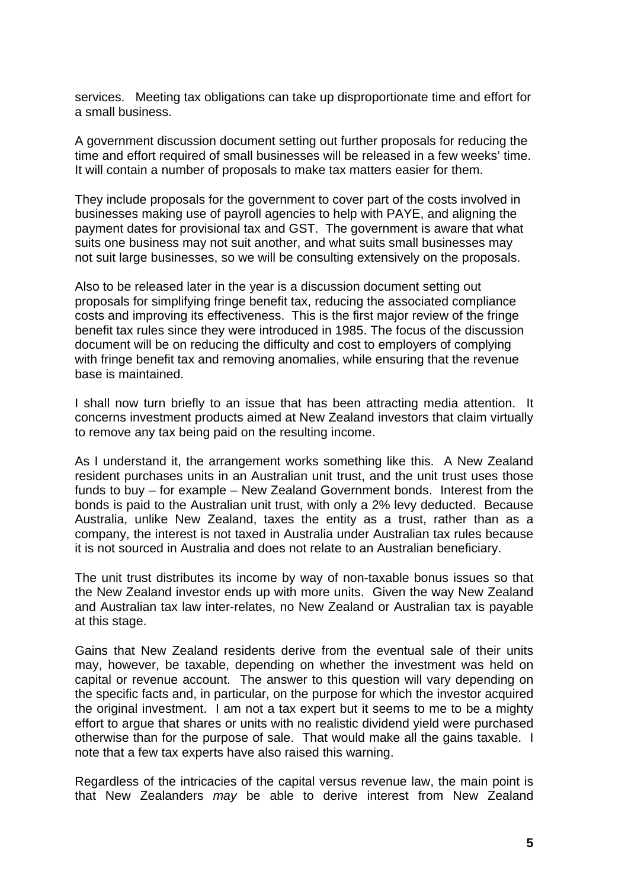services. Meeting tax obligations can take up disproportionate time and effort for a small business.

A government discussion document setting out further proposals for reducing the time and effort required of small businesses will be released in a few weeks' time. It will contain a number of proposals to make tax matters easier for them.

They include proposals for the government to cover part of the costs involved in businesses making use of payroll agencies to help with PAYE, and aligning the payment dates for provisional tax and GST. The government is aware that what suits one business may not suit another, and what suits small businesses may not suit large businesses, so we will be consulting extensively on the proposals.

Also to be released later in the year is a discussion document setting out proposals for simplifying fringe benefit tax, reducing the associated compliance costs and improving its effectiveness. This is the first major review of the fringe benefit tax rules since they were introduced in 1985. The focus of the discussion document will be on reducing the difficulty and cost to employers of complying with fringe benefit tax and removing anomalies, while ensuring that the revenue base is maintained.

I shall now turn briefly to an issue that has been attracting media attention. It concerns investment products aimed at New Zealand investors that claim virtually to remove any tax being paid on the resulting income.

As I understand it, the arrangement works something like this. A New Zealand resident purchases units in an Australian unit trust, and the unit trust uses those funds to buy – for example – New Zealand Government bonds. Interest from the bonds is paid to the Australian unit trust, with only a 2% levy deducted. Because Australia, unlike New Zealand, taxes the entity as a trust, rather than as a company, the interest is not taxed in Australia under Australian tax rules because it is not sourced in Australia and does not relate to an Australian beneficiary.

The unit trust distributes its income by way of non-taxable bonus issues so that the New Zealand investor ends up with more units. Given the way New Zealand and Australian tax law inter-relates, no New Zealand or Australian tax is payable at this stage.

Gains that New Zealand residents derive from the eventual sale of their units may, however, be taxable, depending on whether the investment was held on capital or revenue account. The answer to this question will vary depending on the specific facts and, in particular, on the purpose for which the investor acquired the original investment. I am not a tax expert but it seems to me to be a mighty effort to argue that shares or units with no realistic dividend yield were purchased otherwise than for the purpose of sale. That would make all the gains taxable. I note that a few tax experts have also raised this warning.

Regardless of the intricacies of the capital versus revenue law, the main point is that New Zealanders *may* be able to derive interest from New Zealand